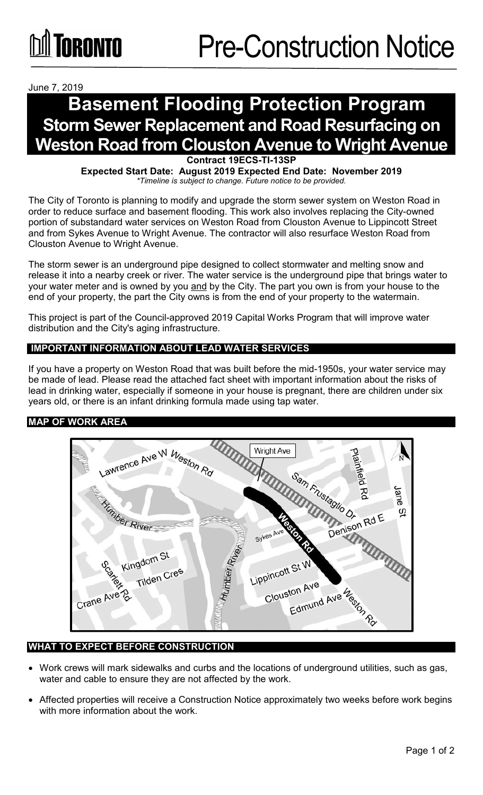June 7, 2019

# **Basement Flooding Protection Program Storm Sewer Replacement and Road Resurfacing on Weston Road from Clouston Avenue to Wright Avenue**

**Contract 19ECS-TI-13SP**

**Expected Start Date: August 2019 Expected End Date: November 2019** *\*Timeline is subject to change. Future notice to be provided.*

The City of Toronto is planning to modify and upgrade the storm sewer system on Weston Road in order to reduce surface and basement flooding. This work also involves replacing the City-owned portion of substandard water services on Weston Road from Clouston Avenue to Lippincott Street and from Sykes Avenue to Wright Avenue. The contractor will also resurface Weston Road from Clouston Avenue to Wright Avenue.

The storm sewer is an underground pipe designed to collect stormwater and melting snow and release it into a nearby creek or river. The water service is the underground pipe that brings water to your water meter and is owned by you and by the City. The part you own is from your house to the end of your property, the part the City owns is from the end of your property to the watermain.

This project is part of the Council-approved 2019 Capital Works Program that will improve water distribution and the City's aging infrastructure.

## **IMPORTANT INFORMATION ABOUT LEAD WATER SERVICES**

If you have a property on Weston Road that was built before the mid-1950s, your water service may be made of lead. Please read the attached fact sheet with important information about the risks of lead in drinking water, especially if someone in your house is pregnant, there are children under six years old, or there is an infant drinking formula made using tap water.

### **MAP OF WORK AREA**



### **WHAT TO EXPECT BEFORE CONSTRUCTION**

- Work crews will mark sidewalks and curbs and the locations of underground utilities, such as gas, water and cable to ensure they are not affected by the work.
- Affected properties will receive a Construction Notice approximately two weeks before work begins with more information about the work.